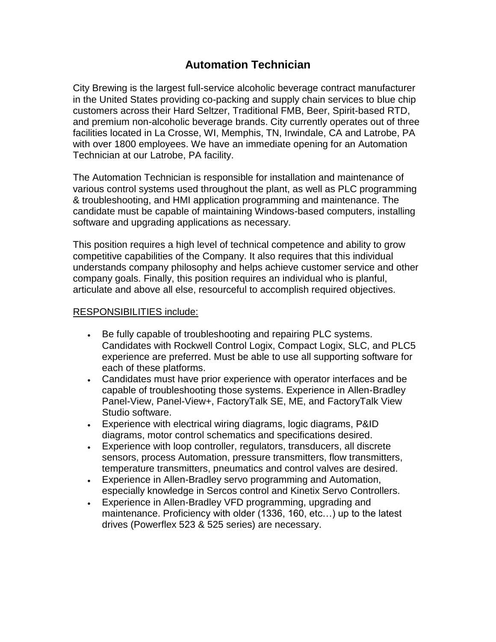## **Automation Technician**

City Brewing is the largest full-service alcoholic beverage contract manufacturer in the United States providing co-packing and supply chain services to blue chip customers across their Hard Seltzer, Traditional FMB, Beer, Spirit-based RTD, and premium non-alcoholic beverage brands. City currently operates out of three facilities located in La Crosse, WI, Memphis, TN, Irwindale, CA and Latrobe, PA with over 1800 employees. We have an immediate opening for an Automation Technician at our Latrobe, PA facility.

The Automation Technician is responsible for installation and maintenance of various control systems used throughout the plant, as well as PLC programming & troubleshooting, and HMI application programming and maintenance. The candidate must be capable of maintaining Windows-based computers, installing software and upgrading applications as necessary.

This position requires a high level of technical competence and ability to grow competitive capabilities of the Company. It also requires that this individual understands company philosophy and helps achieve customer service and other company goals. Finally, this position requires an individual who is planful, articulate and above all else, resourceful to accomplish required objectives.

## RESPONSIBILITIES include:

- . Be fully capable of troubleshooting and repairing PLC systems. Candidates with Rockwell Control Logix, Compact Logix, SLC, and PLC5 experience are preferred. Must be able to use all supporting software for each of these platforms.
- Candidates must have prior experience with operator interfaces and be capable of troubleshooting those systems. Experience in Allen-Bradley Panel-View, Panel-View+, FactoryTalk SE, ME, and FactoryTalk View Studio software.
- Experience with electrical wiring diagrams, logic diagrams, P&ID diagrams, motor control schematics and specifications desired.
- Experience with loop controller, regulators, transducers, all discrete sensors, process Automation, pressure transmitters, flow transmitters, temperature transmitters, pneumatics and control valves are desired.
- Experience in Allen-Bradley servo programming and Automation, especially knowledge in Sercos control and Kinetix Servo Controllers.
- Experience in Allen-Bradley VFD programming, upgrading and maintenance. Proficiency with older (1336, 160, etc…) up to the latest drives (Powerflex 523 & 525 series) are necessary.